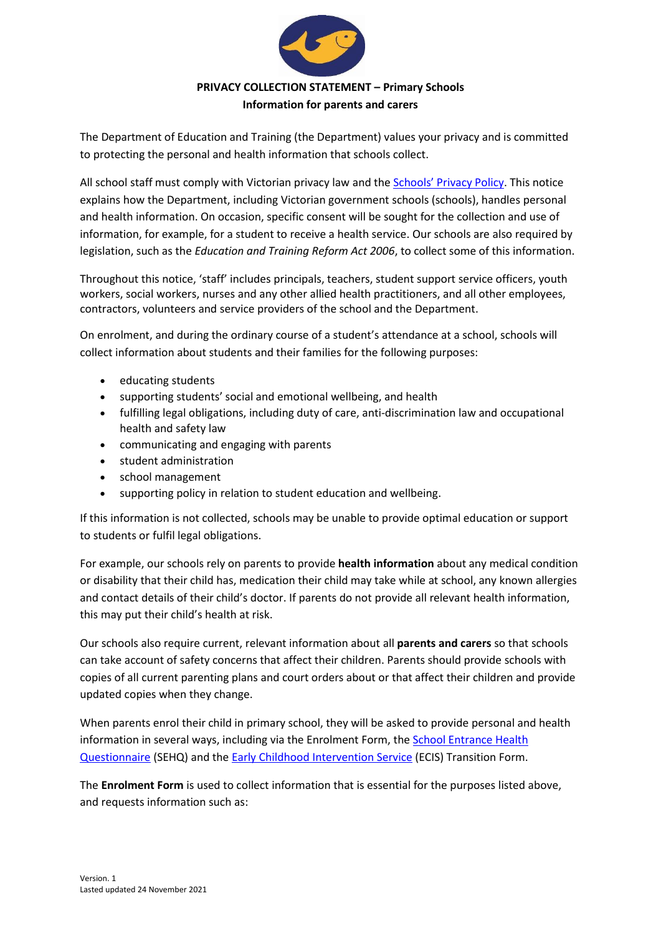

## **PRIVACY COLLECTION STATEMENT – Primary Schools Information for parents and carers**

The Department of Education and Training (the Department) values your privacy and is committed to protecting the personal and health information that schools collect.

All school staff must comply with Victorian privacy law and the [Schools' Privacy Policy](https://www.education.vic.gov.au/Pages/schoolsprivacypolicy.aspx). This notice explains how the Department, including Victorian government schools (schools), handles personal and health information. On occasion, specific consent will be sought for the collection and use of information, for example, for a student to receive a health service. Our schools are also required by legislation, such as the *Education and Training Reform Act 2006*, to collect some of this information.

Throughout this notice, 'staff' includes principals, teachers, student support service officers, youth workers, social workers, nurses and any other allied health practitioners, and all other employees, contractors, volunteers and service providers of the school and the Department.

On enrolment, and during the ordinary course of a student's attendance at a school, schools will collect information about students and their families for the following purposes:

- educating students
- supporting students' social and emotional wellbeing, and health
- fulfilling legal obligations, including duty of care, anti-discrimination law and occupational health and safety law
- communicating and engaging with parents
- student administration
- school management
- supporting policy in relation to student education and wellbeing.

If this information is not collected, schools may be unable to provide optimal education or support to students or fulfil legal obligations.

For example, our schools rely on parents to provide **health information** about any medical condition or disability that their child has, medication their child may take while at school, any known allergies and contact details of their child's doctor. If parents do not provide all relevant health information, this may put their child's health at risk.

Our schools also require current, relevant information about all **parents and carers** so that schools can take account of safety concerns that affect their children. Parents should provide schools with copies of all current parenting plans and court orders about or that affect their children and provide updated copies when they change.

When parents enrol their child in primary school, they will be asked to provide personal and health information in several ways, including via the Enrolment Form, th[e School Entrance Health](https://www.education.vic.gov.au/about/research/Pages/reportdatahealth.aspx)  [Questionnaire](https://www.education.vic.gov.au/about/research/Pages/reportdatahealth.aspx) (SEHQ) and th[e Early Childhood Intervention Service](https://www.education.vic.gov.au/childhood/professionals/needs/Pages/ecisabout.aspx) (ECIS) Transition Form.

The **Enrolment Form** is used to collect information that is essential for the purposes listed above, and requests information such as: